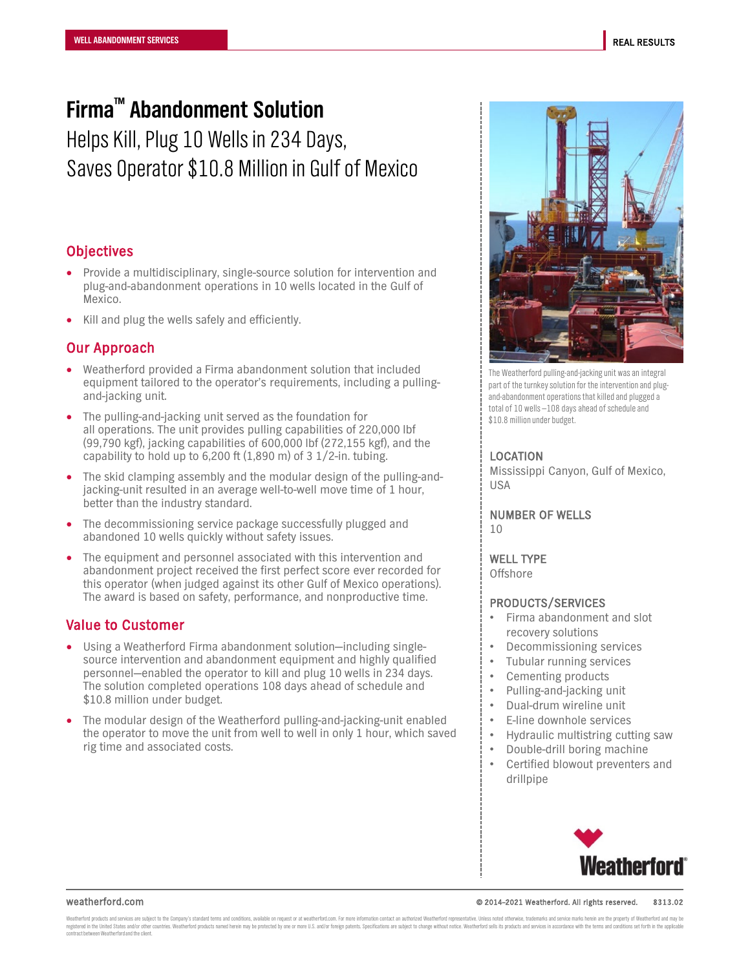# **Firma™ Abandonment Solution**

Helps Kill, Plug 10 Wells in 234 Days, Saves Operator \$10.8 Million in Gulf of Mexico

## **Objectives**

- Provide a multidisciplinary, single-source solution for intervention and plug-and-abandonment operations in 10 wells located in the Gulf of Mexico.
- Kill and plug the wells safely and efficiently.

## Our Approach

- Weatherford provided a Firma abandonment solution that included equipment tailored to the operator's requirements, including a pullingand-jacking unit.
- The pulling-and-jacking unit served as the foundation for all operations. The unit provides pulling capabilities of 220,000 lbf (99,790 kgf), jacking capabilities of 600,000 lbf (272,155 kgf), and the capability to hold up to 6,200 ft  $(1,890 \text{ m})$  of 3 1/2-in. tubing.
- The skid clamping assembly and the modular design of the pulling-andjacking-unit resulted in an average well-to-well move time of 1 hour, better than the industry standard.
- The decommissioning service package successfully plugged and abandoned 10 wells quickly without safety issues.
- The equipment and personnel associated with this intervention and abandonment project received the first perfect score ever recorded for this operator (when judged against its other Gulf of Mexico operations). The award is based on safety, performance, and nonproductive time.

## Value to Customer

- Using a Weatherford Firma abandonment solution—including singlesource intervention and abandonment equipment and highly qualified personnel—enabled the operator to kill and plug 10 wells in 234 days. The solution completed operations 108 days ahead of schedule and \$10.8 million under budget.
- The modular design of the Weatherford pulling-and-jacking-unit enabled the operator to move the unit from well to well in only 1 hour, which saved rig time and associated costs.



The Weatherford pulling-and-jacking unit was an integral part of the turnkey solution for the intervention and plugand-abandonment operations that killed and plugged a total of 10 wells —108 days ahead of schedule and \$10.8 million under budget.

### LOCATION

Mississippi Canyon, Gulf of Mexico, USA

NUMBER OF WELLS  $1<sub>0</sub>$ 

WELL TYPE **Offshore** 

### PRODUCTS/SERVICES

- Firma abandonment and slot recovery solutions
- Decommissioning services
- Tubular running services
- Cementing products
- Pulling-and-jacking unit
- Dual-drum wireline unit
- E-line downhole services
- Hydraulic multistring cutting saw
- Double-drill boring machine
- Certified blowout preventers and drillpipe



#### weatherford.com © 2014–2021 Weatherford. All rights reserved. 8313.02

Weatherford products and services are subject to the Company's standard terms and conditions, available on request or at weatherford.com. For more information contact an authorized Weatherford creasurable. Unless noted the contract between Weatherford and the client.